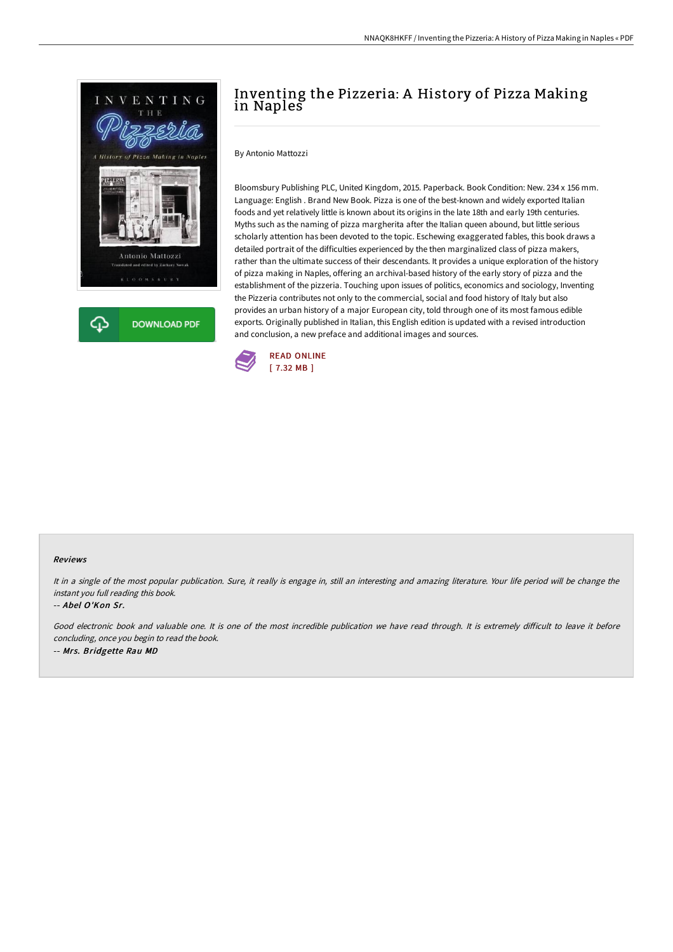



# Inventing the Pizzeria: A History of Pizza Making in Naples

By Antonio Mattozzi

Bloomsbury Publishing PLC, United Kingdom, 2015. Paperback. Book Condition: New. 234 x 156 mm. Language: English . Brand New Book. Pizza is one of the best-known and widely exported Italian foods and yet relatively little is known about its origins in the late 18th and early 19th centuries. Myths such as the naming of pizza margherita after the Italian queen abound, but little serious scholarly attention has been devoted to the topic. Eschewing exaggerated fables, this book draws a detailed portrait of the difficulties experienced by the then marginalized class of pizza makers, rather than the ultimate success of their descendants. It provides a unique exploration of the history of pizza making in Naples, offering an archival-based history of the early story of pizza and the establishment of the pizzeria. Touching upon issues of politics, economics and sociology, Inventing the Pizzeria contributes not only to the commercial, social and food history of Italy but also provides an urban history of a major European city, told through one of its most famous edible exports. Originally published in Italian, this English edition is updated with a revised introduction and conclusion, a new preface and additional images and sources.



### Reviews

It in <sup>a</sup> single of the most popular publication. Sure, it really is engage in, still an interesting and amazing literature. Your life period will be change the instant you full reading this book.

### -- Abel O'Kon Sr.

Good electronic book and valuable one. It is one of the most incredible publication we have read through. It is extremely difficult to leave it before concluding, once you begin to read the book. -- Mrs. Bridgette Rau MD